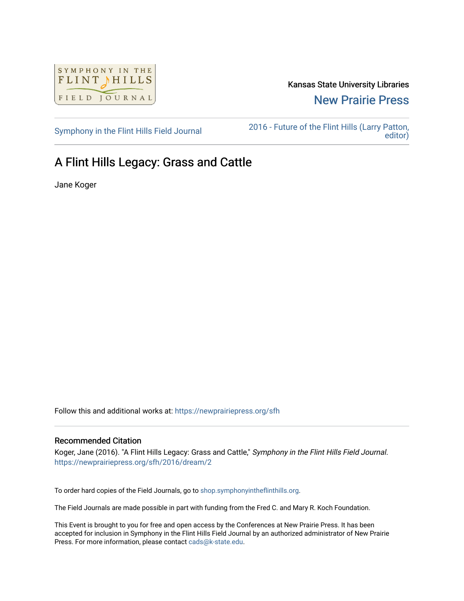

Kansas State University Libraries [New Prairie Press](https://newprairiepress.org/) 

[Symphony in the Flint Hills Field Journal](https://newprairiepress.org/sfh) [2016 - Future of the Flint Hills \(Larry Patton,](https://newprairiepress.org/sfh/2016)  [editor\)](https://newprairiepress.org/sfh/2016) 

## A Flint Hills Legacy: Grass and Cattle

Jane Koger

Follow this and additional works at: [https://newprairiepress.org/sfh](https://newprairiepress.org/sfh?utm_source=newprairiepress.org%2Fsfh%2F2016%2Fdream%2F2&utm_medium=PDF&utm_campaign=PDFCoverPages)

## Recommended Citation

Koger, Jane (2016). "A Flint Hills Legacy: Grass and Cattle," Symphony in the Flint Hills Field Journal. <https://newprairiepress.org/sfh/2016/dream/2>

To order hard copies of the Field Journals, go to [shop.symphonyintheflinthills.org.](http://shop.symphonyintheflinthills.org/)

The Field Journals are made possible in part with funding from the Fred C. and Mary R. Koch Foundation.

This Event is brought to you for free and open access by the Conferences at New Prairie Press. It has been accepted for inclusion in Symphony in the Flint Hills Field Journal by an authorized administrator of New Prairie Press. For more information, please contact [cads@k-state.edu.](mailto:cads@k-state.edu)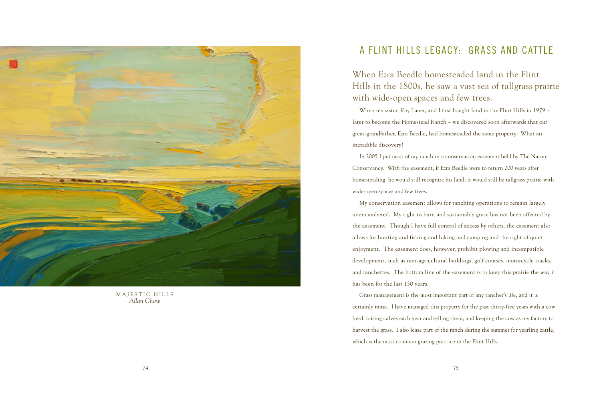

MAJESTIC HILLS *Allan Chow*

## A FLINT HILLS LEGACY: GRASS AND CATTLE

When Ezra Beedle homesteaded land in the Flint Hills in the 1800s, he saw a vast sea of tallgrass prairie with wide-open spaces and few trees.

When my sister, Kay Lauer, and I first bought land in the Flint Hills in 1979 – later to become the Homestead Ranch – we discovered soon afterwards that our great-grandfather, Ezra Beedle, had homesteaded the same property. What an incredible discovery!

In 2005 I put most of my ranch in a conservation easement held by The Nature Conservancy. With the easement, if Ezra Beedle were to return 200 years after homesteading, he would still recognize his land; it would still be tallgrass prairie with wide-open spaces and few trees.

My conservation easement allows for ranching operations to remain largely unencumbered. My right to burn and sustainably graze has not been affected by the easement. Though I have full control of access by others, the easement also allows for hunting and fishing and hiking and camping and the right of quiet enjoyment. The easement does, however, prohibit plowing and incompatible development, such as non-agricultural buildings, golf courses, motorcycle tracks, and ranchettes. The bottom line of the easement is to keep this prairie the way it has been for the last 150 years.

Grass management is the most important part of any rancher's life, and it is certainly mine. I have managed this property for the past thirty-five years with a cow herd, raising calves each year and selling them, and keeping the cow as my factory to harvest the grass. I also lease part of the ranch during the summer for yearling cattle, which is the most common grazing practice in the Flint Hills.